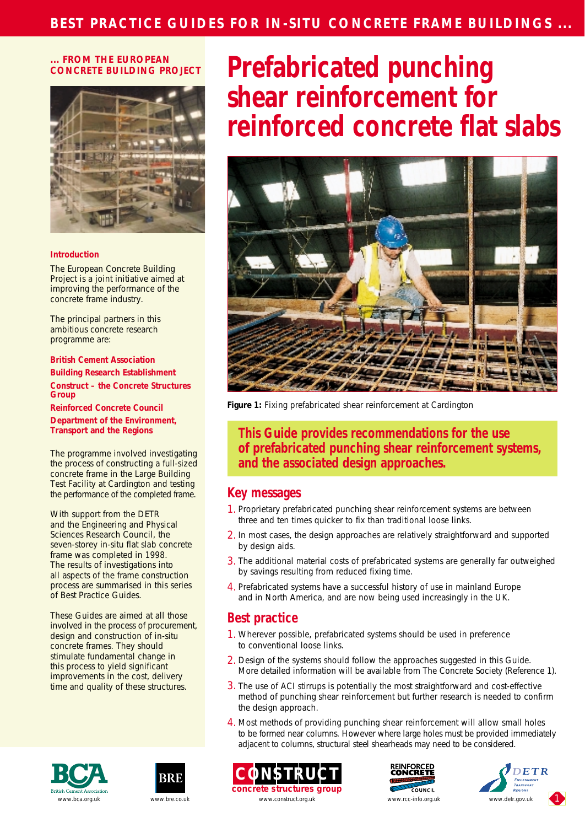## **... FROM THE EUROPEAN CONCRETE BUILDING PROJECT**



### **Introduction**

The European Concrete Building Project is a joint initiative aimed at improving the performance of the concrete frame industry.

The principal partners in this ambitious concrete research programme are:

**British Cement Association Building Research Establishment Construct – the Concrete Structures Group**

**Reinforced Concrete Council**

**Department of the Environment, Transport and the Regions**

The programme involved investigating the process of constructing a full-sized concrete frame in the Large Building Test Facility at Cardington and testing the performance of the completed frame.

With support from the DETR and the Engineering and Physical Sciences Research Council, the seven-storey in-situ flat slab concrete frame was completed in 1998. The results of investigations into all aspects of the frame construction process are summarised in this series of Best Practice Guides.

These Guides are aimed at all those involved in the process of procurement, design and construction of in-situ concrete frames. They should stimulate fundamental change in this process to yield significant improvements in the cost, delivery time and quality of these structures.











# **Prefabricated punching shear reinforcement for reinforced concrete flat slabs**



*Figure 1: Fixing prefabricated shear reinforcement at Cardington*

**This Guide provides recommendations for the use of prefabricated punching shear reinforcement systems, and the associated design approaches.**

## **Key messages**

- 1. Proprietary prefabricated punching shear reinforcement systems are between three and ten times quicker to fix than traditional loose links.
- 2. In most cases, the design approaches are relatively straightforward and supported by design aids.
- 3. The additional material costs of prefabricated systems are generally far outweighed by savings resulting from reduced fixing time.
- 4. Prefabricated systems have a successful history of use in mainland Europe and in North America, and are now being used increasingly in the UK.

# **Best practice**

- 1. Wherever possible, prefabricated systems should be used in preference to conventional loose links.
- 2. Design of the systems should follow the approaches suggested in this Guide. More detailed information will be available from The Concrete Society (Reference 1).
- 3. The use of ACI stirrups is potentially the most straightforward and cost-effective method of punching shear reinforcement but further research is needed to confirm the design approach.
- 4. Most methods of providing punching shear reinforcement will allow small holes to be formed near columns. However where large holes must be provided immediately adjacent to columns, structural steel shearheads may need to be considered.

**concrete structures group** www.bca.org.uk www.bre.co.uk www.construct.org.uk www.construct.org.uk www.cc-info.org.uk www.detr.gov.uk

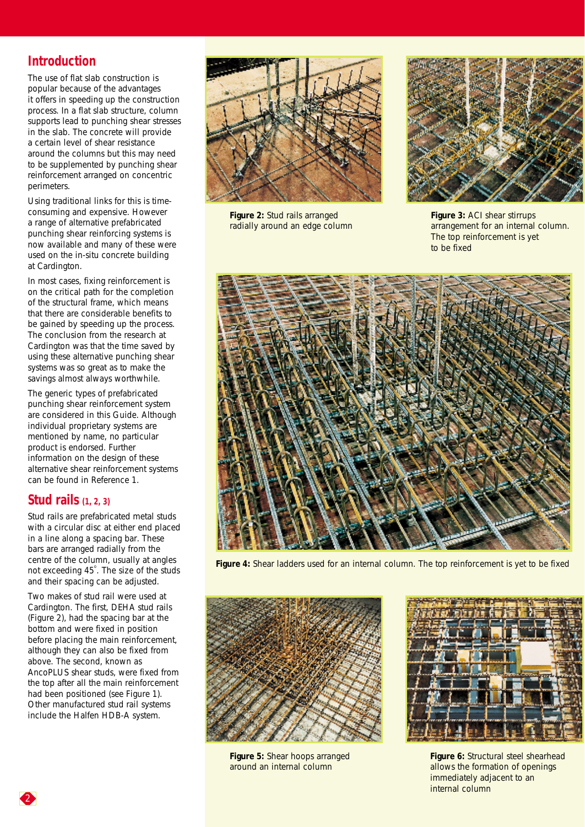# **Introduction**

The use of flat slab construction is popular because of the advantages it offers in speeding up the construction process. In a flat slab structure, column supports lead to punching shear stresses in the slab. The concrete will provide a certain level of shear resistance around the columns but this may need to be supplemented by punching shear reinforcement arranged on concentric perimeters.

Using traditional links for this is timeconsuming and expensive. However a range of alternative prefabricated punching shear reinforcing systems is now available and many of these were used on the in-situ concrete building at Cardington.

In most cases, fixing reinforcement is on the critical path for the completion of the structural frame, which means that there are considerable benefits to be gained by speeding up the process. The conclusion from the research at Cardington was that the time saved by using these alternative punching shear systems was so great as to make the savings almost always worthwhile.

The generic types of prefabricated punching shear reinforcement system are considered in this Guide. Although individual proprietary systems are mentioned by name, no particular product is endorsed. Further information on the design of these alternative shear reinforcement systems can be found in Reference 1.

# **Stud rails (1, 2, 3)**

Stud rails are prefabricated metal studs with a circular disc at either end placed in a line along a spacing bar. These bars are arranged radially from the centre of the column, usually at angles not exceeding 45°. The size of the studs and their spacing can be adjusted.

Two makes of stud rail were used at Cardington. The first, DEHA stud rails (Figure 2), had the spacing bar at the bottom and were fixed in position before placing the main reinforcement, although they can also be fixed from above. The second, known as AncoPLUS shear studs, were fixed from the top after all the main reinforcement had been positioned (see Figure 1). Other manufactured stud rail systems include the Halfen HDB-A system.



*Figure 2: Stud rails arranged radially around an edge column*



*Figure 3: ACI shear stirrups arrangement for an internal column. The top reinforcement is yet to be fixed*



*Figure 4: Shear ladders used for an internal column. The top reinforcement is yet to be fixed*



*Figure 5: Shear hoops arranged around an internal column*



*Figure 6: Structural steel shearhead allows the formation of openings immediately adjacent to an internal column*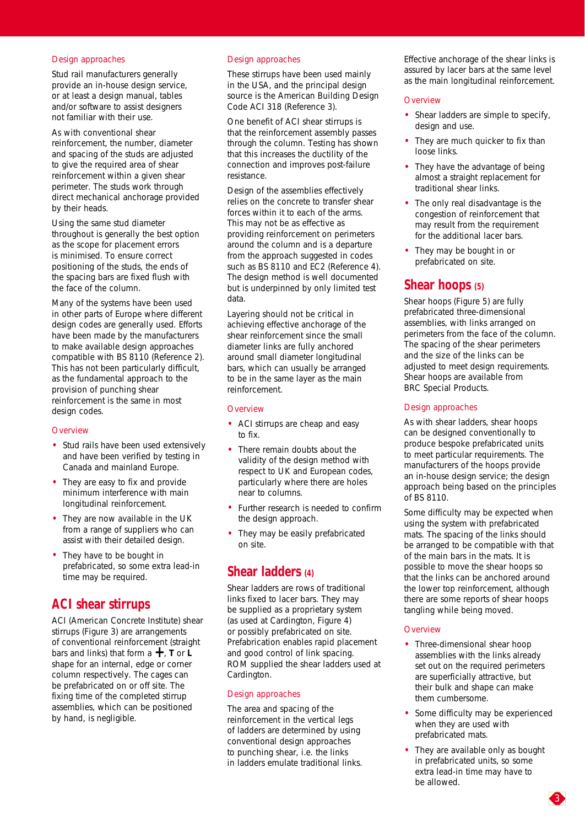#### Design approaches

Stud rail manufacturers generally provide an in-house design service, or at least a design manual, tables and/or software to assist designers not familiar with their use.

As with conventional shear reinforcement, the number, diameter and spacing of the studs are adjusted to give the required area of shear reinforcement within a given shear perimeter. The studs work through direct mechanical anchorage provided by their heads.

Using the same stud diameter throughout is generally the best option as the scope for placement errors is minimised. To ensure correct positioning of the studs, the ends of the spacing bars are fixed flush with the face of the column.

Many of the systems have been used in other parts of Europe where different design codes are generally used. Efforts have been made by the manufacturers to make available design approaches compatible with BS 8110 (Reference 2). This has not been particularly difficult, as the fundamental approach to the provision of punching shear reinforcement is the same in most design codes.

## **Overview**

- Stud rails have been used extensively and have been verified by testing in Canada and mainland Europe.
- They are easy to fix and provide minimum interference with main longitudinal reinforcement.
- They are now available in the UK from a range of suppliers who can assist with their detailed design.
- They have to be bought in prefabricated, so some extra lead-in time may be required.

# **ACI shear stirrups**

ACI (American Concrete Institute) shear stirrups (Figure 3) are arrangements of conventional reinforcement (straight bars and links) that form a **+**, **<sup>T</sup>** or **<sup>L</sup>** shape for an internal, edge or corner column respectively. The cages can be prefabricated on or off site. The fixing time of the completed stirrup assemblies, which can be positioned by hand, is negligible.

## Design approaches

These stirrups have been used mainly in the USA, and the principal design source is the American Building Design Code ACI 318 (Reference 3).

One benefit of ACI shear stirrups is that the reinforcement assembly passes through the column. Testing has shown that this increases the ductility of the connection and improves post-failure resistance.

Design of the assemblies effectively relies on the concrete to transfer shear forces within it to each of the arms. This may not be as effective as providing reinforcement on perimeters around the column and is a departure from the approach suggested in codes such as BS 8110 and EC2 (Reference 4). The design method is well documented but is underpinned by only limited test data.

Layering should not be critical in achieving effective anchorage of the shear reinforcement since the small diameter links are fully anchored around small diameter longitudinal bars, which can usually be arranged to be in the same layer as the main reinforcement.

## **Overview**

- ACI stirrups are cheap and easy to fix.
- There remain doubts about the validity of the design method with respect to UK and European codes, particularly where there are holes near to columns.
- Further research is needed to confirm the design approach.
- They may be easily prefabricated on site.

# **Shear ladders (4)**

Shear ladders are rows of traditional links fixed to lacer bars. They may be supplied as a proprietary system (as used at Cardington, Figure 4) or possibly prefabricated on site. Prefabrication enables rapid placement and good control of link spacing. ROM supplied the shear ladders used at Cardington.

## Design approaches

The area and spacing of the reinforcement in the vertical legs of ladders are determined by using conventional design approaches to punching shear, i.e. the links in ladders emulate traditional links. Effective anchorage of the shear links is assured by lacer bars at the same level as the main longitudinal reinforcement.

## **Overview**

- Shear ladders are simple to specify, design and use.
- They are much quicker to fix than loose links.
- They have the advantage of being almost a straight replacement for traditional shear links.
- The only real disadvantage is the congestion of reinforcement that may result from the requirement for the additional lacer bars.
- They may be bought in or prefabricated on site.

# **Shear hoops (5)**

Shear hoops (Figure 5) are fully prefabricated three-dimensional assemblies, with links arranged on perimeters from the face of the column. The spacing of the shear perimeters and the size of the links can be adjusted to meet design requirements. Shear hoops are available from BRC Special Products.

## Design approaches

As with shear ladders, shear hoops can be designed conventionally to produce bespoke prefabricated units to meet particular requirements. The manufacturers of the hoops provide an in-house design service; the design approach being based on the principles of BS 8110.

Some difficulty may be expected when using the system with prefabricated mats. The spacing of the links should be arranged to be compatible with that of the main bars in the mats. It is possible to move the shear hoops so that the links can be anchored around the lower top reinforcement, although there are some reports of shear hoops tangling while being moved.

## **Overview**

- Three-dimensional shear hoop assemblies with the links already set out on the required perimeters are superficially attractive, but their bulk and shape can make them cumbersome.
- Some difficulty may be experienced when they are used with prefabricated mats.
- They are available only as bought in prefabricated units, so some extra lead-in time may have to be allowed.